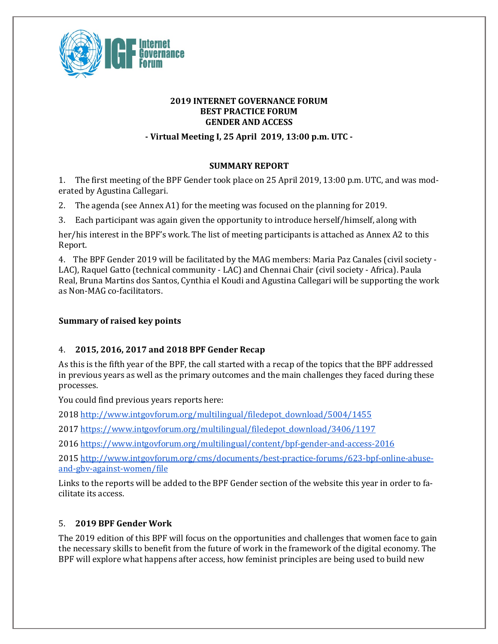

## **2019 INTERNET GOVERNANCE FORUM BEST PRACTICE FORUM GENDER AND ACCESS**

**- Virtual Meeting I, 25 April 2019, 13:00 p.m. UTC -**

## **SUMMARY REPORT**

1. The first meeting of the BPF Gender took place on 25 April 2019, 13:00 p.m. UTC, and was moderated by Agustina Callegari.

2. The agenda (see Annex A1) for the meeting was focused on the planning for 2019.

3. Each participant was again given the opportunity to introduce herself/himself, along with

her/his interest in the BPF's work. The list of meeting participants is attached as Annex A2 to this Report.

4. The BPF Gender 2019 will be facilitated by the MAG members: Maria Paz Canales (civil society -LAC), Raquel Gatto (technical community - LAC) and Chennai Chair (civil society - Africa). Paula Real, Bruna Martins dos Santos, Cynthia el Koudi and Agustina Callegari will be supporting the work as Non-MAG co-facilitators. 

## **Summary of raised key points**

# 4. **2015, 2016, 2017 and 2018 BPF Gender Recap**

As this is the fifth year of the BPF, the call started with a recap of the topics that the BPF addressed in previous years as well as the primary outcomes and the main challenges they faced during these processes.

You could find previous years reports here:

2018 http://www.intgovforum.org/multilingual/filedepot\_download/5004/1455

2017 https://www.intgovforum.org/multilingual/filedepot\_download/3406/1197

2016 https://www.intgovforum.org/multilingual/content/bpf-gender-and-access-2016

2015 http://www.intgovforum.org/cms/documents/best-practice-forums/623-bpf-online-abuseand-gbv-against-women/file

Links to the reports will be added to the BPF Gender section of the website this year in order to facilitate its access.

# 5. **2019 BPF Gender Work**

The 2019 edition of this BPF will focus on the opportunities and challenges that women face to gain the necessary skills to benefit from the future of work in the framework of the digital economy. The BPF will explore what happens after access, how feminist principles are being used to build new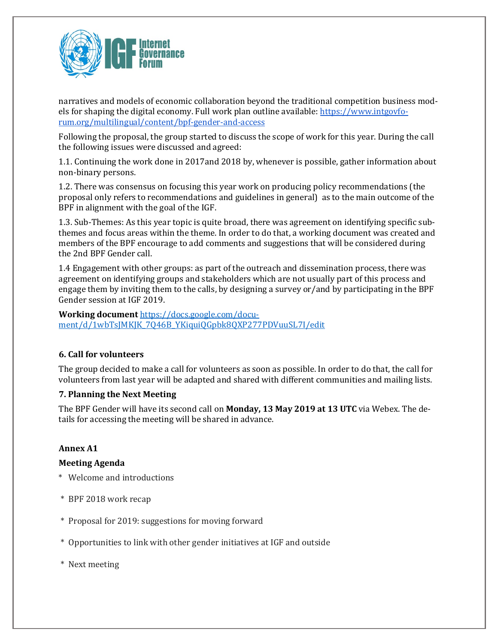

narratives and models of economic collaboration beyond the traditional competition business models for shaping the digital economy. Full work plan outline available: https://www.intgovforum.org/multilingual/content/bpf-gender-and-access

Following the proposal, the group started to discuss the scope of work for this year. During the call the following issues were discussed and agreed:

1.1. Continuing the work done in 2017and 2018 by, whenever is possible, gather information about non-binary persons. 

1.2. There was consensus on focusing this year work on producing policy recommendations (the proposal only refers to recommendations and guidelines in general) as to the main outcome of the BPF in alignment with the goal of the IGF.

1.3. Sub-Themes: As this year topic is quite broad, there was agreement on identifying specific subthemes and focus areas within the theme. In order to do that, a working document was created and members of the BPF encourage to add comments and suggestions that will be considered during the 2nd BPF Gender call.

1.4 Engagement with other groups: as part of the outreach and dissemination process, there was agreement on identifying groups and stakeholders which are not usually part of this process and engage them by inviting them to the calls, by designing a survey or/and by participating in the BPF Gender session at IGF 2019.

**Working document** https://docs.google.com/document/d/1wbTsJMKJK\_7Q46B\_YKiquiQGpbk8QXP277PDVuuSL7I/edit

## **6. Call for volunteers**

The group decided to make a call for volunteers as soon as possible. In order to do that, the call for volunteers from last year will be adapted and shared with different communities and mailing lists.

#### **7. Planning the Next Meeting**

The BPF Gender will have its second call on **Monday, 13 May 2019 at 13 UTC** via Webex. The details for accessing the meeting will be shared in advance.

#### **Annex A1**

#### **Meeting Agenda**

- \* Welcome and introductions
- \* BPF 2018 work recap
- \* Proposal for 2019: suggestions for moving forward
- \* Opportunities to link with other gender initiatives at IGF and outside
- \* Next meeting